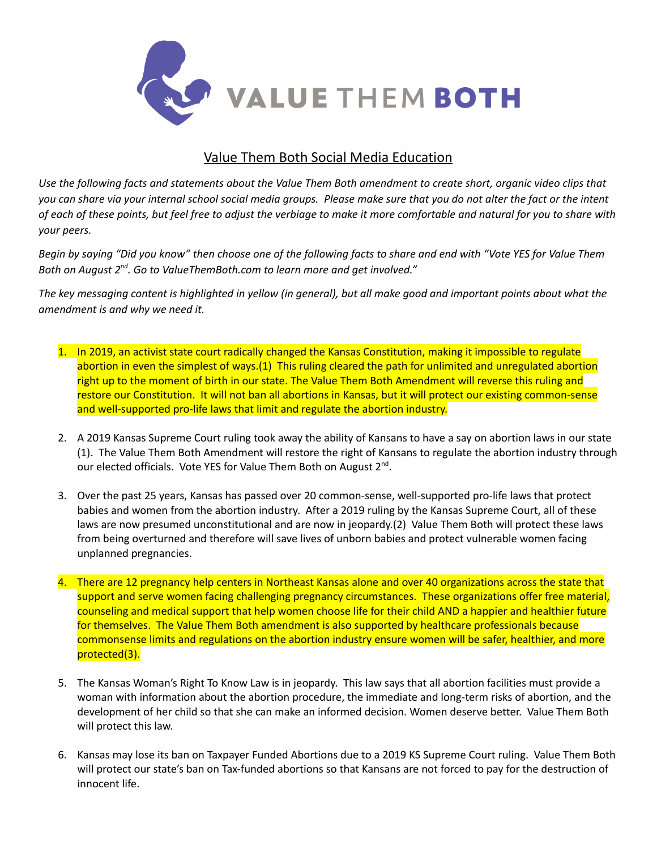

## Value Them Both Social Media Education

Use the following facts and statements about the Value Them Both amendment to create short, organic video clips that you can share via your internal school social media groups. Please make sure that you do not alter the fact or the intent of each of these points, but feel free to adjust the verbiage to make it more comfortable and natural for you to share with *your peers.*

Begin by saying "Did you know" then choose one of the following facts to share and end with "Vote YES for Value Them *Both on August 2 nd . Go to ValueThemBoth.com to learn more and get involved."*

The key messaging content is highlighted in yellow (in general), but all make good and important points about what the *amendment is and why we need it.*

- 1. In 2019, an activist state court radically changed the Kansas Constitution, making it impossible to regulate abortion in even the simplest of ways.(1) This ruling cleared the path for unlimited and unregulated abortion right up to the moment of birth in our state. The Value Them Both Amendment will reverse this ruling and restore our Constitution. It will not ban all abortions in Kansas, but it will protect our existing common-sense and well-supported pro-life laws that limit and regulate the abortion industry.
- 2. A 2019 Kansas Supreme Court ruling took away the ability of Kansans to have a say on abortion laws in our state (1). The Value Them Both Amendment will restore the right of Kansans to regulate the abortion industry through our elected officials. Vote YES for Value Them Both on August 2<sup>nd</sup>.
- 3. Over the past 25 years, Kansas has passed over 20 common-sense, well-supported pro-life laws that protect babies and women from the abortion industry. After a 2019 ruling by the Kansas Supreme Court, all of these laws are now presumed unconstitutional and are now in jeopardy.(2) Value Them Both will protect these laws from being overturned and therefore will save lives of unborn babies and protect vulnerable women facing unplanned pregnancies.
- 4. There are 12 pregnancy help centers in Northeast Kansas alone and over 40 organizations across the state that support and serve women facing challenging pregnancy circumstances. These organizations offer free material, counseling and medical support that help women choose life for their child AND a happier and healthier future for themselves. The Value Them Both amendment is also supported by healthcare professionals because commonsense limits and regulations on the abortion industry ensure women will be safer, healthier, and more protected(3).
- 5. The Kansas Woman's Right To Know Law is in jeopardy. This law says that all abortion facilities must provide a woman with information about the abortion procedure, the immediate and long-term risks of abortion, and the development of her child so that she can make an informed decision. Women deserve better. Value Them Both will protect this law.
- 6. Kansas may lose its ban on Taxpayer Funded Abortions due to a 2019 KS Supreme Court ruling. Value Them Both will protect our state's ban on Tax-funded abortions so that Kansans are not forced to pay for the destruction of innocent life.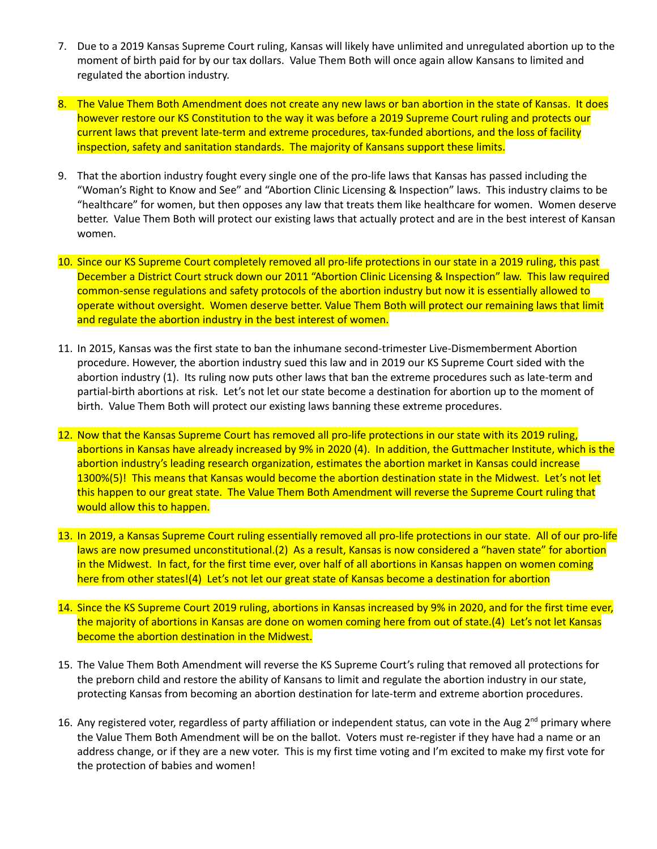- 7. Due to a 2019 Kansas Supreme Court ruling, Kansas will likely have unlimited and unregulated abortion up to the moment of birth paid for by our tax dollars. Value Them Both will once again allow Kansans to limited and regulated the abortion industry.
- 8. The Value Them Both Amendment does not create any new laws or ban abortion in the state of Kansas. It does however restore our KS Constitution to the way it was before a 2019 Supreme Court ruling and protects our current laws that prevent late-term and extreme procedures, tax-funded abortions, and the loss of facility inspection, safety and sanitation standards. The majority of Kansans support these limits.
- 9. That the abortion industry fought every single one of the pro-life laws that Kansas has passed including the "Woman's Right to Know and See" and "Abortion Clinic Licensing & Inspection" laws. This industry claims to be "healthcare" for women, but then opposes any law that treats them like healthcare for women. Women deserve better. Value Them Both will protect our existing laws that actually protect and are in the best interest of Kansan women.
- 10. Since our KS Supreme Court completely removed all pro-life protections in our state in a 2019 ruling, this past December a District Court struck down our 2011 "Abortion Clinic Licensing & Inspection" law. This law required common-sense regulations and safety protocols of the abortion industry but now it is essentially allowed to operate without oversight. Women deserve better. Value Them Both will protect our remaining laws that limit and regulate the abortion industry in the best interest of women.
- 11. In 2015, Kansas was the first state to ban the inhumane second-trimester Live-Dismemberment Abortion procedure. However, the abortion industry sued this law and in 2019 our KS Supreme Court sided with the abortion industry (1). Its ruling now puts other laws that ban the extreme procedures such as late-term and partial-birth abortions at risk. Let's not let our state become a destination for abortion up to the moment of birth. Value Them Both will protect our existing laws banning these extreme procedures.
- 12. Now that the Kansas Supreme Court has removed all pro-life protections in our state with its 2019 ruling, abortions in Kansas have already increased by 9% in 2020 (4). In addition, the Guttmacher Institute, which is the abortion industry's leading research organization, estimates the abortion market in Kansas could increase 1300%(5)! This means that Kansas would become the abortion destination state in the Midwest. Let's not let this happen to our great state. The Value Them Both Amendment will reverse the Supreme Court ruling that would allow this to happen.
- 13. In 2019, a Kansas Supreme Court ruling essentially removed all pro-life protections in our state. All of our pro-life laws are now presumed unconstitutional.(2) As a result, Kansas is now considered a "haven state" for abortion in the Midwest. In fact, for the first time ever, over half of all abortions in Kansas happen on women coming here from other states!(4) Let's not let our great state of Kansas become a destination for abortion
- 14. Since the KS Supreme Court 2019 ruling, abortions in Kansas increased by 9% in 2020, and for the first time ever, the majority of abortions in Kansas are done on women coming here from out of state.(4) Let's not let Kansas become the abortion destination in the Midwest.
- 15. The Value Them Both Amendment will reverse the KS Supreme Court's ruling that removed all protections for the preborn child and restore the ability of Kansans to limit and regulate the abortion industry in our state, protecting Kansas from becoming an abortion destination for late-term and extreme abortion procedures.
- 16. Any registered voter, regardless of party affiliation or independent status, can vote in the Aug 2<sup>nd</sup> primary where the Value Them Both Amendment will be on the ballot. Voters must re-register if they have had a name or an address change, or if they are a new voter. This is my first time voting and I'm excited to make my first vote for the protection of babies and women!